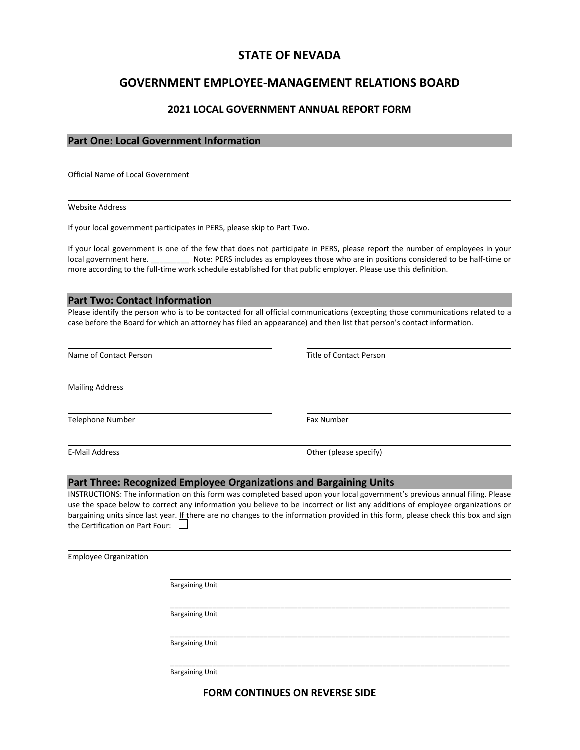## **STATE OF NEVADA**

# **GOVERNMENT EMPLOYEE-MANAGEMENT RELATIONS BOARD**

#### **2021 LOCAL GOVERNMENT ANNUAL REPORT FORM**

## **Part One: Local Government Information**

Official Name of Local Government

Website Address

l

If your local government participates in PERS, please skip to Part Two.

If your local government is one of the few that does not participate in PERS, please report the number of employees in your local government here. \_\_\_\_\_\_\_\_\_ Note: PERS includes as employees those who are in positions considered to be half-time or more according to the full-time work schedule established for that public employer. Please use this definition.

#### **Part Two: Contact Information**

Please identify the person who is to be contacted for all official communications (excepting those communications related to a case before the Board for which an attorney has filed an appearance) and then list that person's contact information.

| Name of Contact Person          | Title of Contact Person                                                                                                                                                                                                                                                                                                                                                                           |
|---------------------------------|---------------------------------------------------------------------------------------------------------------------------------------------------------------------------------------------------------------------------------------------------------------------------------------------------------------------------------------------------------------------------------------------------|
| <b>Mailing Address</b>          |                                                                                                                                                                                                                                                                                                                                                                                                   |
| Telephone Number                | <b>Fax Number</b>                                                                                                                                                                                                                                                                                                                                                                                 |
| E-Mail Address                  | Other (please specify)                                                                                                                                                                                                                                                                                                                                                                            |
|                                 | Part Three: Recognized Employee Organizations and Bargaining Units                                                                                                                                                                                                                                                                                                                                |
| the Certification on Part Four: | INSTRUCTIONS: The information on this form was completed based upon your local government's previous annual filing. Please<br>use the space below to correct any information you believe to be incorrect or list any additions of employee organizations or<br>bargaining units since last year. If there are no changes to the information provided in this form, please check this box and sign |

Employee Organization Bargaining Unit \_\_\_\_\_\_\_\_\_\_\_\_\_\_\_\_\_\_\_\_\_\_\_\_\_\_\_\_\_\_\_\_\_\_\_\_\_\_\_\_\_\_\_\_\_\_\_\_\_\_\_\_\_\_\_\_\_\_\_\_\_\_\_\_\_\_\_\_\_\_\_\_\_\_\_\_\_\_\_\_ Bargaining Unit

Bargaining Unit

Bargaining Unit

## **FORM CONTINUES ON REVERSE SIDE**

\_\_\_\_\_\_\_\_\_\_\_\_\_\_\_\_\_\_\_\_\_\_\_\_\_\_\_\_\_\_\_\_\_\_\_\_\_\_\_\_\_\_\_\_\_\_\_\_\_\_\_\_\_\_\_\_\_\_\_\_\_\_\_\_\_\_\_\_\_\_\_\_\_\_\_\_\_\_\_\_

\_\_\_\_\_\_\_\_\_\_\_\_\_\_\_\_\_\_\_\_\_\_\_\_\_\_\_\_\_\_\_\_\_\_\_\_\_\_\_\_\_\_\_\_\_\_\_\_\_\_\_\_\_\_\_\_\_\_\_\_\_\_\_\_\_\_\_\_\_\_\_\_\_\_\_\_\_\_\_\_